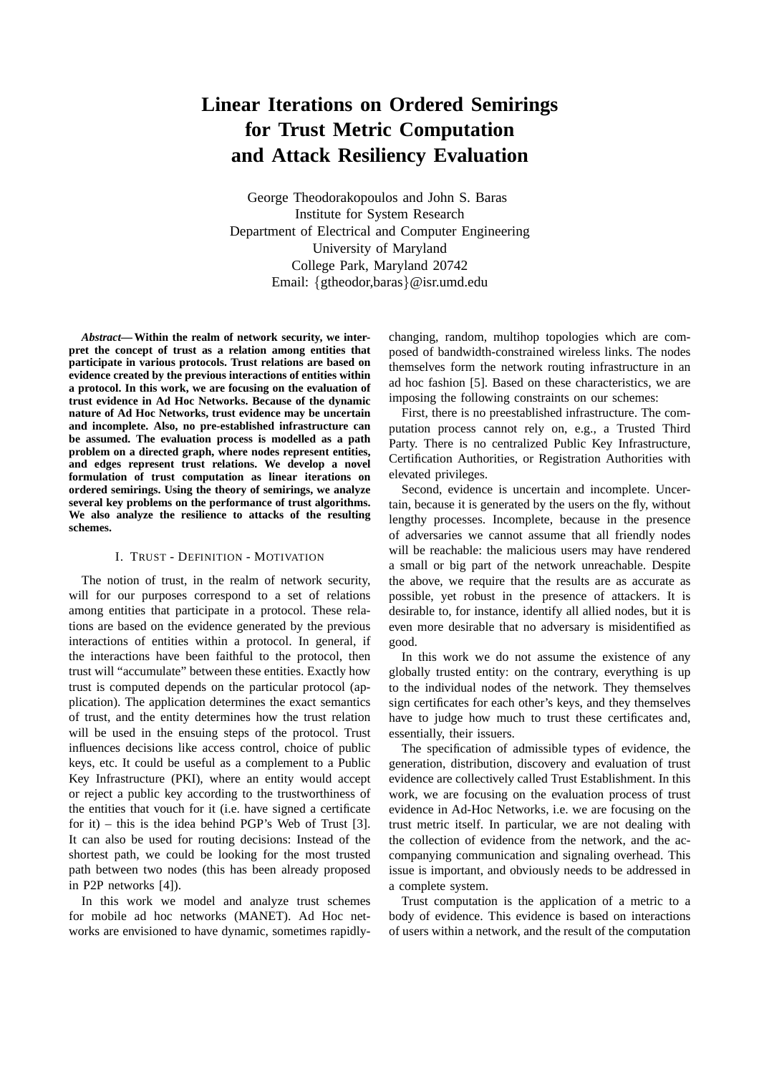# **Linear Iterations on Ordered Semirings for Trust Metric Computation and Attack Resiliency Evaluation**

George Theodorakopoulos and John S. Baras Institute for System Research Department of Electrical and Computer Engineering University of Maryland College Park, Maryland 20742 Email: {gtheodor,baras}@isr.umd.edu

*Abstract***— Within the realm of network security, we interpret the concept of trust as a relation among entities that participate in various protocols. Trust relations are based on evidence created by the previous interactions of entities within a protocol. In this work, we are focusing on the evaluation of trust evidence in Ad Hoc Networks. Because of the dynamic nature of Ad Hoc Networks, trust evidence may be uncertain and incomplete. Also, no pre-established infrastructure can be assumed. The evaluation process is modelled as a path problem on a directed graph, where nodes represent entities, and edges represent trust relations. We develop a novel formulation of trust computation as linear iterations on ordered semirings. Using the theory of semirings, we analyze several key problems on the performance of trust algorithms. We also analyze the resilience to attacks of the resulting schemes.**

## I. TRUST - DEFINITION - MOTIVATION

The notion of trust, in the realm of network security, will for our purposes correspond to a set of relations among entities that participate in a protocol. These relations are based on the evidence generated by the previous interactions of entities within a protocol. In general, if the interactions have been faithful to the protocol, then trust will "accumulate" between these entities. Exactly how trust is computed depends on the particular protocol (application). The application determines the exact semantics of trust, and the entity determines how the trust relation will be used in the ensuing steps of the protocol. Trust influences decisions like access control, choice of public keys, etc. It could be useful as a complement to a Public Key Infrastructure (PKI), where an entity would accept or reject a public key according to the trustworthiness of the entities that vouch for it (i.e. have signed a certificate for it) – this is the idea behind PGP's Web of Trust [3]. It can also be used for routing decisions: Instead of the shortest path, we could be looking for the most trusted path between two nodes (this has been already proposed in P2P networks [4]).

In this work we model and analyze trust schemes for mobile ad hoc networks (MANET). Ad Hoc networks are envisioned to have dynamic, sometimes rapidlychanging, random, multihop topologies which are composed of bandwidth-constrained wireless links. The nodes themselves form the network routing infrastructure in an ad hoc fashion [5]. Based on these characteristics, we are imposing the following constraints on our schemes:

First, there is no preestablished infrastructure. The computation process cannot rely on, e.g., a Trusted Third Party. There is no centralized Public Key Infrastructure, Certification Authorities, or Registration Authorities with elevated privileges.

Second, evidence is uncertain and incomplete. Uncertain, because it is generated by the users on the fly, without lengthy processes. Incomplete, because in the presence of adversaries we cannot assume that all friendly nodes will be reachable: the malicious users may have rendered a small or big part of the network unreachable. Despite the above, we require that the results are as accurate as possible, yet robust in the presence of attackers. It is desirable to, for instance, identify all allied nodes, but it is even more desirable that no adversary is misidentified as good.

In this work we do not assume the existence of any globally trusted entity: on the contrary, everything is up to the individual nodes of the network. They themselves sign certificates for each other's keys, and they themselves have to judge how much to trust these certificates and, essentially, their issuers.

The specification of admissible types of evidence, the generation, distribution, discovery and evaluation of trust evidence are collectively called Trust Establishment. In this work, we are focusing on the evaluation process of trust evidence in Ad-Hoc Networks, i.e. we are focusing on the trust metric itself. In particular, we are not dealing with the collection of evidence from the network, and the accompanying communication and signaling overhead. This issue is important, and obviously needs to be addressed in a complete system.

Trust computation is the application of a metric to a body of evidence. This evidence is based on interactions of users within a network, and the result of the computation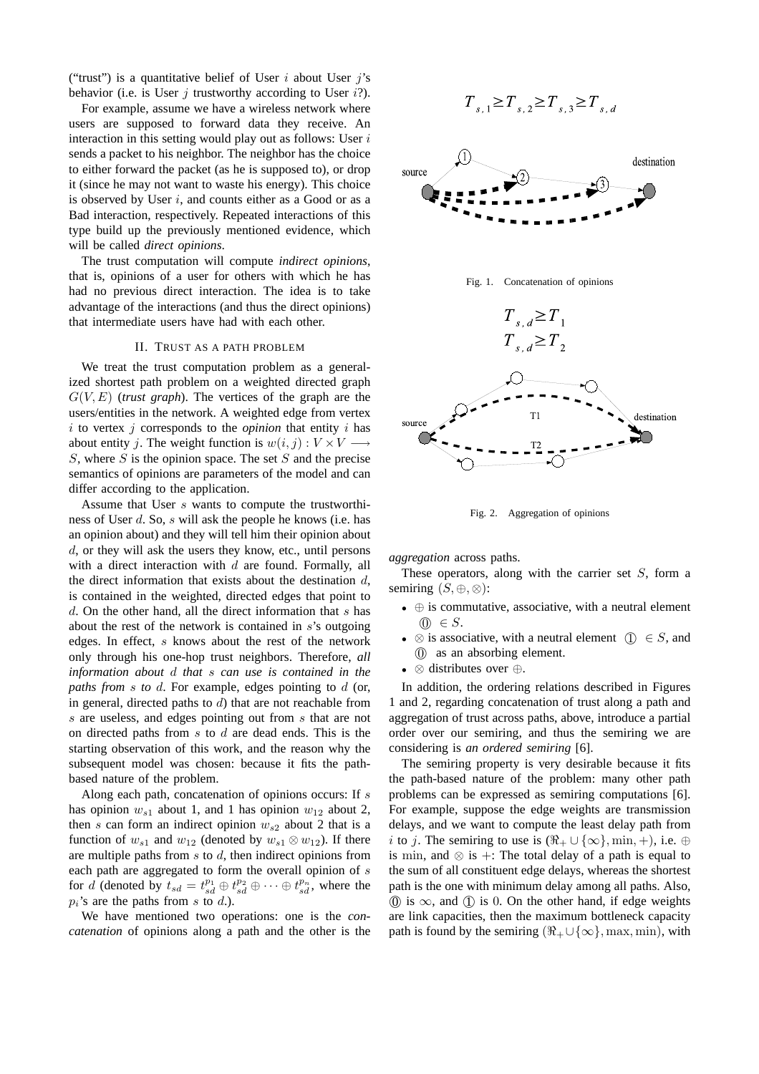("trust") is a quantitative belief of User  $i$  about User  $j$ 's behavior (i.e. is User  $i$  trustworthy according to User  $i$ ?).

For example, assume we have a wireless network where users are supposed to forward data they receive. An interaction in this setting would play out as follows: User  $i$ sends a packet to his neighbor. The neighbor has the choice to either forward the packet (as he is supposed to), or drop it (since he may not want to waste his energy). This choice is observed by User  $i$ , and counts either as a Good or as a Bad interaction, respectively. Repeated interactions of this type build up the previously mentioned evidence, which will be called *direct opinions*.

The trust computation will compute *indirect opinions*, that is, opinions of a user for others with which he has had no previous direct interaction. The idea is to take advantage of the interactions (and thus the direct opinions) that intermediate users have had with each other.

## II. TRUST AS A PATH PROBLEM

We treat the trust computation problem as a generalized shortest path problem on a weighted directed graph  $G(V, E)$  (*trust graph*). The vertices of the graph are the users/entities in the network. A weighted edge from vertex  $i$  to vertex  $j$  corresponds to the *opinion* that entity  $i$  has about entity j. The weight function is  $w(i, j) : V \times V \longrightarrow$  $S$ , where  $S$  is the opinion space. The set  $S$  and the precise semantics of opinions are parameters of the model and can differ according to the application.

Assume that User s wants to compute the trustworthiness of User d. So, s will ask the people he knows (i.e. has an opinion about) and they will tell him their opinion about d, or they will ask the users they know, etc., until persons with a direct interaction with  $d$  are found. Formally, all the direct information that exists about the destination  $d$ , is contained in the weighted, directed edges that point to  $d$ . On the other hand, all the direct information that  $s$  has about the rest of the network is contained in s's outgoing edges. In effect, s knows about the rest of the network only through his one-hop trust neighbors. Therefore, *all information about* d *that* s *can use is contained in the paths from* s *to* d. For example, edges pointing to d (or, in general, directed paths to  $d$ ) that are not reachable from s are useless, and edges pointing out from s that are not on directed paths from s to d are dead ends. This is the starting observation of this work, and the reason why the subsequent model was chosen: because it fits the pathbased nature of the problem.

Along each path, concatenation of opinions occurs: If s has opinion  $w_{s1}$  about 1, and 1 has opinion  $w_{12}$  about 2, then s can form an indirect opinion  $w_{s2}$  about 2 that is a function of  $w_{s1}$  and  $w_{12}$  (denoted by  $w_{s1} \otimes w_{12}$ ). If there are multiple paths from s to d, then indirect opinions from each path are aggregated to form the overall opinion of  $s$ for d (denoted by  $t_{sd} = t_{sd}^{p_1} \oplus t_{sd}^{p_2} \oplus \cdots \oplus t_{sd}^{p_n}$ , where the  $p_i$ 's are the paths from s to d.).

We have mentioned two operations: one is the *concatenation* of opinions along a path and the other is the

$$
T_{s,1} \ge T_{s,2} \ge T_{s,3} \ge T_{s,d}
$$







Fig. 2. Aggregation of opinions

*aggregation* across paths.

These operators, along with the carrier set  $S$ , form a semiring  $(S, \oplus, \otimes)$ :

- ⊕ is commutative, associative, with a neutral element  $\textcircled{0} \in S.$
- $\otimes$  is associative, with a neutral element  $(1) \in S$ , and 0 as an absorbing element.
- ⊗ distributes over ⊕.

In addition, the ordering relations described in Figures 1 and 2, regarding concatenation of trust along a path and aggregation of trust across paths, above, introduce a partial order over our semiring, and thus the semiring we are considering is *an ordered semiring* [6].

The semiring property is very desirable because it fits the path-based nature of the problem: many other path problems can be expressed as semiring computations [6]. For example, suppose the edge weights are transmission delays, and we want to compute the least delay path from i to j. The semiring to use is  $(\Re_+ \cup {\infty}, \min, +)$ , i.e.  $\oplus$ is min, and  $\otimes$  is +: The total delay of a path is equal to the sum of all constituent edge delays, whereas the shortest path is the one with minimum delay among all paths. Also,  $(0)$  is  $\infty$ , and  $(1)$  is 0. On the other hand, if edge weights are link capacities, then the maximum bottleneck capacity path is found by the semiring  $(\Re_{+} \cup {\infty})$ , max, min), with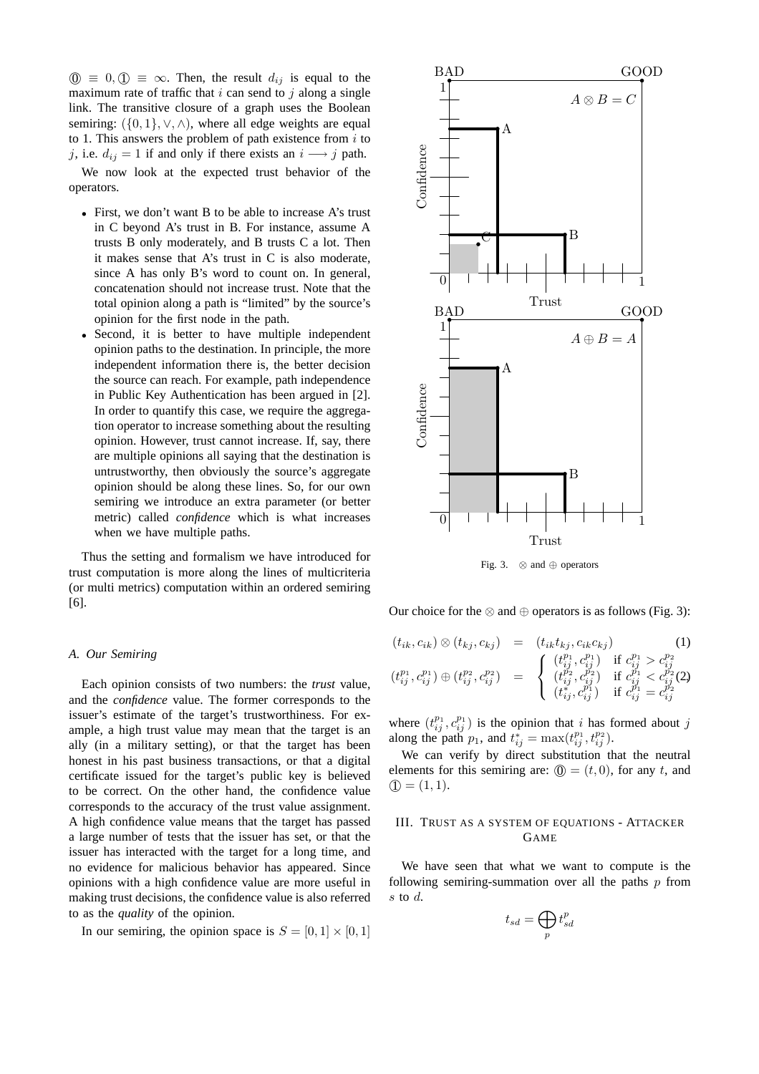$\circled{0} \equiv 0, \circled{1} \equiv \infty$ . Then, the result  $d_{ij}$  is equal to the maximum rate of traffic that  $i$  can send to  $j$  along a single link. The transitive closure of a graph uses the Boolean semiring:  $({0, 1}, \vee, \wedge)$ , where all edge weights are equal to 1. This answers the problem of path existence from  $i$  to j, i.e.  $d_{ij} = 1$  if and only if there exists an  $i \rightarrow j$  path.

We now look at the expected trust behavior of the operators.

- First, we don't want B to be able to increase A's trust in C beyond A's trust in B. For instance, assume A trusts B only moderately, and B trusts C a lot. Then it makes sense that A's trust in C is also moderate, since A has only B's word to count on. In general, concatenation should not increase trust. Note that the total opinion along a path is "limited" by the source's opinion for the first node in the path.
- Second, it is better to have multiple independent opinion paths to the destination. In principle, the more independent information there is, the better decision the source can reach. For example, path independence in Public Key Authentication has been argued in [2]. In order to quantify this case, we require the aggregation operator to increase something about the resulting opinion. However, trust cannot increase. If, say, there are multiple opinions all saying that the destination is untrustworthy, then obviously the source's aggregate opinion should be along these lines. So, for our own semiring we introduce an extra parameter (or better metric) called *confidence* which is what increases when we have multiple paths.

Thus the setting and formalism we have introduced for trust computation is more along the lines of multicriteria (or multi metrics) computation within an ordered semiring [6].

#### *A. Our Semiring*

Each opinion consists of two numbers: the *trust* value, and the *confidence* value. The former corresponds to the issuer's estimate of the target's trustworthiness. For example, a high trust value may mean that the target is an ally (in a military setting), or that the target has been honest in his past business transactions, or that a digital certificate issued for the target's public key is believed to be correct. On the other hand, the confidence value corresponds to the accuracy of the trust value assignment. A high confidence value means that the target has passed a large number of tests that the issuer has set, or that the issuer has interacted with the target for a long time, and no evidence for malicious behavior has appeared. Since opinions with a high confidence value are more useful in making trust decisions, the confidence value is also referred to as the *quality* of the opinion.

In our semiring, the opinion space is  $S = [0, 1] \times [0, 1]$ 



Fig. 3. ⊗ and ⊕ operators

Our choice for the  $\otimes$  and  $\oplus$  operators is as follows (Fig. 3):

$$
(t_{ik}, c_{ik}) \otimes (t_{kj}, c_{kj}) = (t_{ik}t_{kj}, c_{ik}c_{kj}) \qquad (1)
$$

$$
(t_{ij}^{p_1}, c_{ij}^{p_1}) \oplus (t_{ij}^{p_2}, c_{ij}^{p_2}) = \begin{cases} (t_{ij}^{p_1}, c_{ij}^{p_1}) & \text{if } c_{ij}^{p_1} > c_{ij}^{p_2} \\ (t_{ij}^{p_2}, c_{ij}^{p_2}) & \text{if } c_{ij}^{p_1} < c_{ij}^{p_2} \\ (t_{ij}^{p_2}, c_{ij}^{p_1}) & \text{if } c_{ij}^{p_1} = c_{ij}^{p_2} \end{cases}
$$

where  $(t_{ij}^{p_1}, c_{ij}^{p_1})$  is the opinion that i has formed about j along the path  $p_1$ , and  $t_{ij}^* = \max(t_{ij}^{p_1}, t_{ij}^{p_2})$ .

We can verify by direct substitution that the neutral elements for this semiring are:  $\mathbf{0} = (t, 0)$ , for any t, and  $(1, 1).$ 

# III. TRUST AS A SYSTEM OF EQUATIONS - ATTACKER GAME

We have seen that what we want to compute is the following semiring-summation over all the paths  $p$  from s to  $d$ .

$$
t_{sd} = \bigoplus_{p} t_{sd}^{p}
$$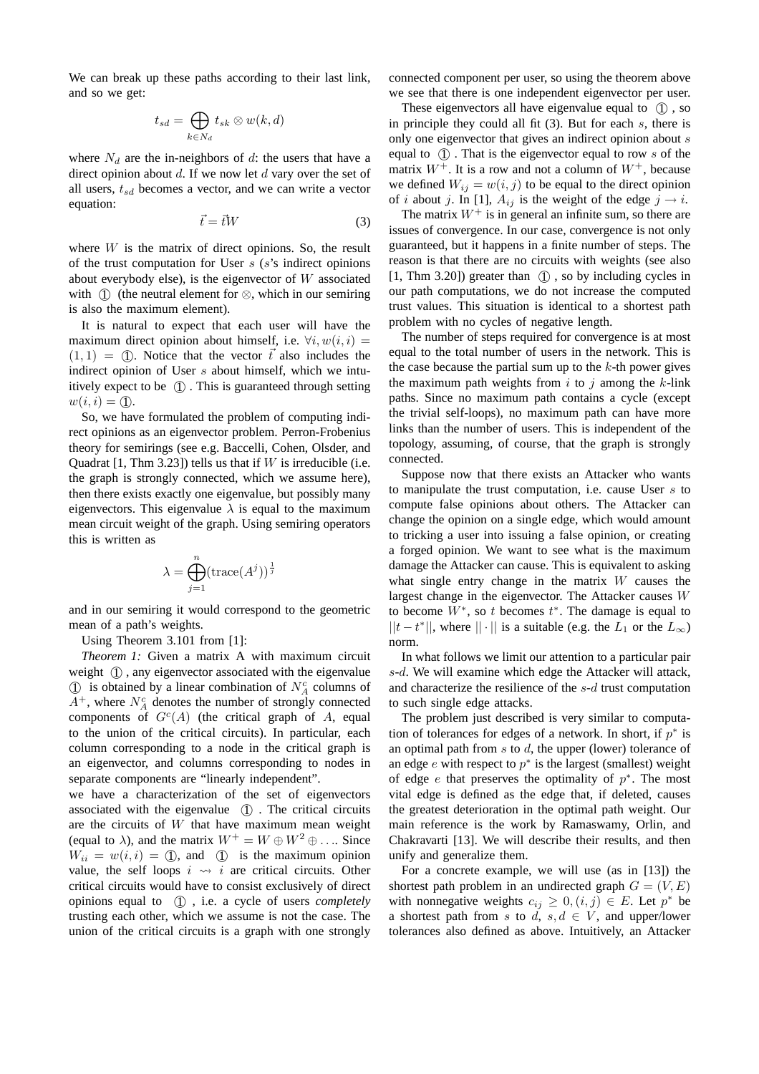We can break up these paths according to their last link, and so we get:

$$
t_{sd} = \bigoplus_{k \in N_d} t_{sk} \otimes w(k,d)
$$

where  $N_d$  are the in-neighbors of d: the users that have a direct opinion about  $d$ . If we now let  $d$  vary over the set of all users,  $t_{sd}$  becomes a vector, and we can write a vector equation:

$$
\vec{t} = \vec{t}W\tag{3}
$$

where  $W$  is the matrix of direct opinions. So, the result of the trust computation for User  $s$  ( $s$ 's indirect opinions about everybody else), is the eigenvector of  $W$  associated with  $(1)$  (the neutral element for  $\otimes$ , which in our semiring is also the maximum element).

It is natural to expect that each user will have the maximum direct opinion about himself, i.e.  $\forall i, w(i, i) =$  $(1, 1) = (1)$ . Notice that the vector  $\vec{t}$  also includes the indirect opinion of User s about himself, which we intuitively expect to be  $(1)$ . This is guaranteed through setting  $w(i, i) = \textcircled{1}.$ 

So, we have formulated the problem of computing indirect opinions as an eigenvector problem. Perron-Frobenius theory for semirings (see e.g. Baccelli, Cohen, Olsder, and Quadrat [1, Thm 3.23]) tells us that if  $W$  is irreducible (i.e. the graph is strongly connected, which we assume here), then there exists exactly one eigenvalue, but possibly many eigenvectors. This eigenvalue  $\lambda$  is equal to the maximum mean circuit weight of the graph. Using semiring operators this is written as

$$
\lambda = \bigoplus_{j=1}^{n} (\text{trace}(A^{j}))^{\frac{1}{j}}
$$

and in our semiring it would correspond to the geometric mean of a path's weights.

Using Theorem 3.101 from [1]:

*Theorem 1:* Given a matrix A with maximum circuit weight (1), any eigenvector associated with the eigenvalue  $\textcircled{1}$  is obtained by a linear combination of  $N_A^c$  columns of  $A^+$ , where  $N_A^c$  denotes the number of strongly connected components of  $G<sup>c</sup>(A)$  (the critical graph of A, equal to the union of the critical circuits). In particular, each column corresponding to a node in the critical graph is an eigenvector, and columns corresponding to nodes in separate components are "linearly independent".

we have a characterization of the set of eigenvectors associated with the eigenvalue (1). The critical circuits are the circuits of  $W$  that have maximum mean weight (equal to  $\lambda$ ), and the matrix  $W^+ = W \oplus W^2 \oplus \ldots$  Since  $W_{ii} = w(i, i) = \textcircled{1}$ , and  $\textcircled{1}$  is the maximum opinion value, the self loops  $i \rightsquigarrow i$  are critical circuits. Other critical circuits would have to consist exclusively of direct opinions equal to  $(1)$ , i.e. a cycle of users *completely* trusting each other, which we assume is not the case. The union of the critical circuits is a graph with one strongly connected component per user, so using the theorem above we see that there is one independent eigenvector per user.

These eigenvectors all have eigenvalue equal to  $(1)$ , so in principle they could all fit (3). But for each s, there is only one eigenvector that gives an indirect opinion about s equal to  $(1)$ . That is the eigenvector equal to row s of the matrix  $W^+$ . It is a row and not a column of  $W^+$ , because we defined  $W_{ij} = w(i, j)$  to be equal to the direct opinion of i about j. In [1],  $A_{ij}$  is the weight of the edge  $j \rightarrow i$ .

The matrix  $W^+$  is in general an infinite sum, so there are issues of convergence. In our case, convergence is not only guaranteed, but it happens in a finite number of steps. The reason is that there are no circuits with weights (see also  $[1, Thm 3.20]$  greater than  $(1)$ , so by including cycles in our path computations, we do not increase the computed trust values. This situation is identical to a shortest path problem with no cycles of negative length.

The number of steps required for convergence is at most equal to the total number of users in the network. This is the case because the partial sum up to the  $k$ -th power gives the maximum path weights from i to j among the k-link paths. Since no maximum path contains a cycle (except the trivial self-loops), no maximum path can have more links than the number of users. This is independent of the topology, assuming, of course, that the graph is strongly connected.

Suppose now that there exists an Attacker who wants to manipulate the trust computation, i.e. cause User  $s$  to compute false opinions about others. The Attacker can change the opinion on a single edge, which would amount to tricking a user into issuing a false opinion, or creating a forged opinion. We want to see what is the maximum damage the Attacker can cause. This is equivalent to asking what single entry change in the matrix  $W$  causes the largest change in the eigenvector. The Attacker causes W to become  $W^*$ , so t becomes  $t^*$ . The damage is equal to  $||t - t^*||$ , where  $|| \cdot ||$  is a suitable (e.g. the  $L_1$  or the  $L_{\infty}$ ) norm.

In what follows we limit our attention to a particular pair s-d. We will examine which edge the Attacker will attack, and characterize the resilience of the s-d trust computation to such single edge attacks.

The problem just described is very similar to computation of tolerances for edges of a network. In short, if  $p^*$  is an optimal path from  $s$  to  $d$ , the upper (lower) tolerance of an edge  $e$  with respect to  $p^*$  is the largest (smallest) weight of edge  $e$  that preserves the optimality of  $p^*$ . The most vital edge is defined as the edge that, if deleted, causes the greatest deterioration in the optimal path weight. Our main reference is the work by Ramaswamy, Orlin, and Chakravarti [13]. We will describe their results, and then unify and generalize them.

For a concrete example, we will use (as in [13]) the shortest path problem in an undirected graph  $G = (V, E)$ with nonnegative weights  $c_{ij} \geq 0, (i,j) \in E$ . Let  $p^*$  be a shortest path from s to  $d, s, d \in V$ , and upper/lower tolerances also defined as above. Intuitively, an Attacker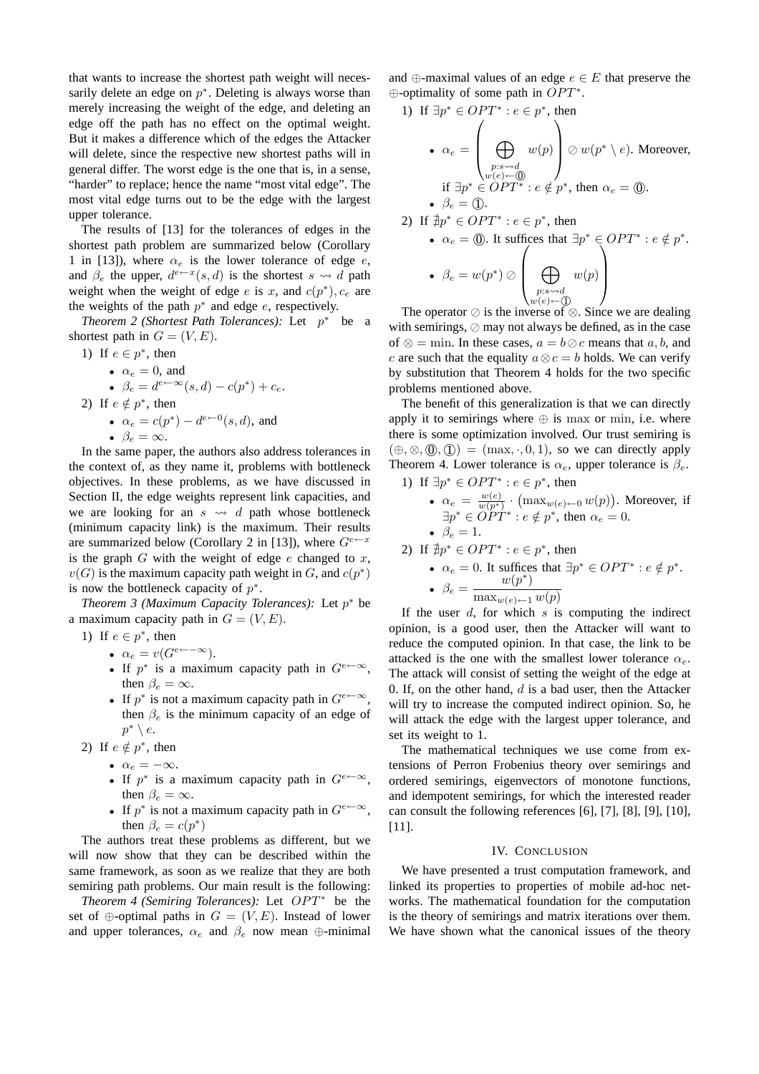that wants to increase the shortest path weight will necessarily delete an edge on  $p^*$ . Deleting is always worse than merely increasing the weight of the edge, and deleting an edge off the path has no effect on the optimal weight. But it makes a difference which of the edges the Attacker will delete, since the respective new shortest paths will in general differ. The worst edge is the one that is, in a sense, "harder" to replace; hence the name "most vital edge". The most vital edge turns out to be the edge with the largest upper tolerance.

The results of [13] for the tolerances of edges in the shortest path problem are summarized below (Corollary 1 in [13]), where  $\alpha_e$  is the lower tolerance of edge e, and  $\beta_e$  the upper,  $d^{e\leftarrow x}(s, d)$  is the shortest  $s \leadsto d$  path weight when the weight of edge e is x, and  $c(p^*)$ ,  $c_e$  are the weights of the path  $p^*$  and edge e, respectively.

*Theorem 2 (Shortest Path Tolerances):* Let  $p^*$  be a shortest path in  $G = (V, E)$ .

\n- 1) If 
$$
e \in p^*
$$
, then
\n- $\alpha_e = 0$ , and
\n- $\beta_e = d^{e \leftarrow \infty}(s, d) - c(p^*) + c_e$ .
\n- 2) If  $e \notin p^*$ , then
\n- $\alpha_e = c(p^*) - d^{e \leftarrow 0}(s, d)$ , and
\n- $\beta_e = \infty$ .
\n

In the same paper, the authors also address tolerances in the context of, as they name it, problems with bottleneck objectives. In these problems, as we have discussed in Section II, the edge weights represent link capacities, and we are looking for an  $s \rightsquigarrow d$  path whose bottleneck (minimum capacity link) is the maximum. Their results are summarized below (Corollary 2 in [13]), where  $G^{e\leftarrow x}$ is the graph  $G$  with the weight of edge  $e$  changed to  $x$ ,  $v(G)$  is the maximum capacity path weight in G, and  $c(p^*)$ is now the bottleneck capacity of  $p^*$ .

*Theorem 3 (Maximum Capacity Tolerances):* Let p <sup>∗</sup> be a maximum capacity path in  $G = (V, E)$ .

- 1) If  $e \in p^*$ , then
	- $\alpha_e = v(G^{e \leftarrow -\infty}).$
	- If  $p^*$  is a maximum capacity path in  $G^{e \leftarrow \infty}$ , then  $\beta_e = \infty$ .
	- If  $p^*$  is not a maximum capacity path in  $G^{e \leftarrow \infty}$ , then  $\beta_e$  is the minimum capacity of an edge of  $p^* \setminus e$ .
- 2) If  $e \notin p^*$ , then
	- $\alpha_e = -\infty$ .
	- If  $p^*$  is a maximum capacity path in  $G^{e \leftarrow \infty}$ , then  $\beta_e = \infty$ .
	- If  $p^*$  is not a maximum capacity path in  $G^{e \leftarrow \infty}$ , then  $\beta_e = c(p^*)$

The authors treat these problems as different, but we will now show that they can be described within the same framework, as soon as we realize that they are both semiring path problems. Our main result is the following:

*Theorem 4 (Semiring Tolerances):* Let  $OPT^*$  be the set of  $\oplus$ -optimal paths in  $G = (V, E)$ . Instead of lower and upper tolerances,  $\alpha_e$  and  $\beta_e$  now mean  $\oplus$ -minimal

and  $\oplus$ -maximal values of an edge  $e \in E$  that preserve the  $\oplus$ -optimality of some path in  $OPT^*$ .

1) If 
$$
\exists p^* \in OPT^* : e \in p^*
$$
, then  
\n•  $\alpha_e = \left(\bigoplus_{\substack{p: s \leadsto d \\ w(e) \leftarrow \bigoplus \emptyset}} w(p) \right) \oslash w(p^* \setminus e)$ . Moreover,  
\nif  $\exists p^* \in OPT^* : e \notin p^*$ , then  $\alpha_e = \textcircled{0}$ .  
\n•  $\beta_e = \textcircled{1}$ .

2) If 
$$
\nexists p^* \in OPT^* : e \in p^*
$$
, then

\n- \n
$$
\alpha_e = \textcircled{0}
$$
. It suffices that\n  $\exists p^* \in OPT^* : e \notin p^*.$ \n
\n- \n $\beta_e = w(p^*) \oslash \left( \bigoplus_{\substack{p: s \sim d \\ w(e) \leftarrow \textcircled{1}}} w(p) \right)$ \n
\n

 $\begin{array}{c} \n\sqrt{w(e)} \leftarrow 0$ <br>The operator ⊘ is the inverse of ⊗. Since we are dealing with semirings, ⊘ may not always be defined, as in the case of  $\otimes$  = min. In these cases,  $a = b \oslash c$  means that a, b, and c are such that the equality  $a \otimes c = b$  holds. We can verify by substitution that Theorem 4 holds for the two specific problems mentioned above.

The benefit of this generalization is that we can directly apply it to semirings where  $\oplus$  is max or min, i.e. where there is some optimization involved. Our trust semiring is  $(\oplus, \otimes, \mathbb{O}, \mathbb{O}) = (\max, \cdot, 0, 1)$ , so we can directly apply Theorem 4. Lower tolerance is  $\alpha_e$ , upper tolerance is  $\beta_e$ .

1) If 
$$
\exists p^* \in OPT^* : e \in p^*
$$
, then  
\n•  $\alpha_e = \frac{w(e)}{w(p^*)} \cdot (\max_{w(e) \leftarrow 0} w(p))$ . Moreover, if  
\n $\exists p^* \in OPT^* : e \notin p^*$ , then  $\alpha_e = 0$ .  
\n•  $\beta_e = 1$ .

2) If 
$$
\nexists p^* \in OPT^* : e \in p^*
$$
, then

\n- $$
\alpha_e = 0
$$
. It suffices that  $\exists p^* \in OPT^* : e \notin p^*$ .
\n- $\beta_e = \frac{w(p^*)}{\max_{w(e) \leftarrow 1} w(p)}$
\n

If the user  $d$ , for which  $s$  is computing the indirect opinion, is a good user, then the Attacker will want to reduce the computed opinion. In that case, the link to be attacked is the one with the smallest lower tolerance  $\alpha_e$ . The attack will consist of setting the weight of the edge at 0. If, on the other hand,  $d$  is a bad user, then the Attacker will try to increase the computed indirect opinion. So, he will attack the edge with the largest upper tolerance, and set its weight to 1.

The mathematical techniques we use come from extensions of Perron Frobenius theory over semirings and ordered semirings, eigenvectors of monotone functions, and idempotent semirings, for which the interested reader can consult the following references [6], [7], [8], [9], [10], [11].

## IV. CONCLUSION

We have presented a trust computation framework, and linked its properties to properties of mobile ad-hoc networks. The mathematical foundation for the computation is the theory of semirings and matrix iterations over them. We have shown what the canonical issues of the theory